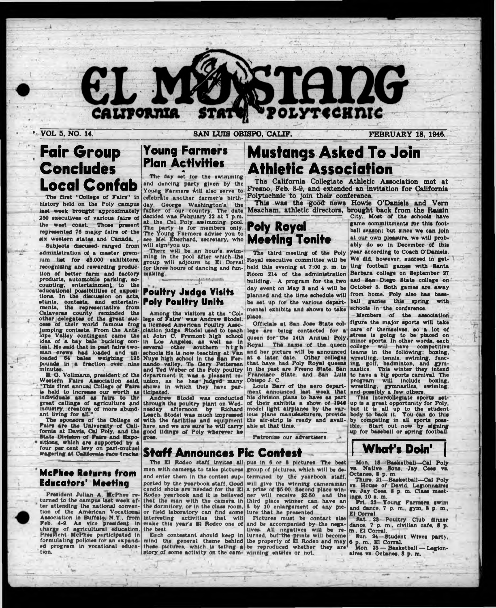

**• VOL 5, NO. 14. SAN LUIS OBISPO, CALIF. FEBRUARY 18, 1948.**

# **Fair Group Concludes Local Confab**

The first "College of Fairs" In history held on the Poly campus last week brought approximately 250 executives of various fairs of the west coast. Those present represented 76 majoy fairs of the six western states and Canada. *,*

Subjects disc used- ranged from administration of a master premium list for 45,000 exhibitors, recognising and rewarding production of better farm and factory products, automobile parking, accounting, entertainment to the educational possibilities of expositions. In the discussion on acts, stunts, contests, and entertainments, the representative from Calaveras county reminded the other delegates of the great success of their world famous frog lumping contests. From the Antelope Valley contingent came the Idea of a hay bale bucking contest. He said that In past fairs twoman crews had loaded and unloaded 64 bales weighing 126 pounds in a fraction over nine minutes.

B. O. Vollmann, president of the Western Fairs Association said, "This first annual College of Fairs Is held to Increase our worth as Individuals and as fairs to the great callings of agriculture and Industry, creators of more abundant living for all."

The sponsors of the College of Fairs are the University of California at Davis. Cal Poly, and the State Division of Fairs and Expositions, which are supported by a four per cent levy on pari-mutuel wagering at California race tracks.

# **Young Farmers Plan Activities** \* «

The day set for the swimming and dancing party given by the Young Farmers will also serve to<br>celebrate another farmer's birthcelebrate another farmer's birthday, George Washington's, the father of our country. The date decided was February 22 at 7 p.m. at the Cal Poly swimming pool. The party la for members only. The party is for members only. **Poly Royal** see Mel Eberhard, secretary, who **Mooting Tonito** will sign\*you up.

There will be an hour's swimming in the pool after which the group will adjourn to El Corral for three hours of dancing and funmaking. ----------- - J in n ,- \*

## **Poultry Judgo Visits Poly Poultry Units**

Among the visitors at the "Col-<br>lege of Fairs" was Andrew Stodel. lege of Fairs" was Andrew Stodal. a licensed American Poultry Association Judge. Stodel used to teach at John *C.* Fremont high echool In Los Angeles, as well as in several other southern high schools He is now teaching at Van Nuys high school In the San Fer-nando valley. To Gary Pettersen and Ted Weber of the Poly poultry department it was a pleasant reunion, as he has Judged many shows in which they have participated.

Andrew Stodel was conducted through the poultry plant on Wednesday afternoon by Richard Leach Stodel was much Impressed with the facilities and equipment here, and we are sure he will carry good tidings of Poly wherever he

goes.

# **Mustangs Asked To Join Athletic Association m**

**The California Collegiate Athletic Association met at Fresno, Feb. 8-9, and extended an invitation for California Polytechnic to join their conference.**

**This was the good news Howie O'Daniels and Vem Meacham, athletic directors, brought back from the Raisin**

The third meeting of the Poly Royal executive committee will be held this evening at 7:00 p. m. In Room 214 of the administration building. A program for the two day event on May 3 and 4 will be be set up for the various departmental exhibits and shows to take place.

Officials at San Jose State college are being contacted for a queen for' the 14th Annual Poly, Royal. The name of the queen and her picture will be announced at a later date. Other colleges that have had Poly Royal queens In the past are Fresno State, San Francisco State, and San Luis Obispo J. C.

Louis Barr of the aero department announced last week that his division plans to have as part of their exhibits a show of 1646 model light airplanes by the various plane manufacturers, provide the alr-atrtp Is ready and available at that time.

Patronise our advertisers.

#### City. Most of the schools have game committments *for* this football season; but since we can Join at our own pleasure, we will probably do so in December of this year according to Coach O'Daniels. We did, however, succeed in getting football games with Santa Barbara college on September 27 and San Diego State college on October 5. Both games are away planned and the time schedule will from home. Poly also has baseball games this spring with schools in the conference.

Members of the association figure the major sports will take care of themselves, so a lot of stress is going to be placed on minor sports. In other words, each college will have competitive teams In the following; boxing, wresUIng, tennis, swlmlng, fencing, golf, badminton, and gymnastics. This winter they Intend to have a big sports carnival. The program will Include boxing, wrestling, gymnastics, swlmlng, and possibly a few others.

This Intercollegiate sports set-' up Is a great opportunity for Poly, but It la all up to the student body to back it. You can do this by competing in all sports possible. Start out now by signing up for baseball or spring football

# **Staff Announces Pic Contest**

ported by the yearbook staff. Good candid shots are needed for the El Rodeo yearbook and it Is believed that the man with the camera in the dormitory, or in the class room, or field laboratory can find some Interesting activities that will make this year's B1 Rodeo one of

the beet. Each contestant should keep In mind the general theme behind these pictures, which is telling a story of some activity on the cam-

The  $E1$  Rodeo staff invites all pus in 6 or 8 pictures. The best men with cameras to take pictures group of pictures, which will be deand enter them in the contest sup- termined by the yearbook staff, will give the winning cameraman a prize of \$5.00. Second place winner will receive 82.66, and the third place winner can have an 8 by 10 enlargement of any picture that he presented.

Pictures must be contact size and be accompanied by the negatives. All negatives will be returned. but the prints will become the property of El Rodeo and may be reproduced whether they are winning entries or hot.

Mon. 16—Basketball—Cal Poly vs. Native Sons, Jay Cees Octanes, 8 p. m.

**| What's Doin' |**

Thurs. 21—Basketball—Cal Poly vs. House of David, Legionnaires vs. Jay Cees, 8 p. m. Class meetings, 10 a. m.

Frl 22—Young Farmers swim and dance, 7 p. m., gym, 8 p. m., El Corral.

Sat. 23-Poultry Club dinner dance, 7 p. m., civilian cafe, 8 p. m., El Corral.

Sun. 24—Student Wives party, 6 p. m., El Corral.

Mon. 26 — Basketball — Legionaires vs. Octanes, 8 p. m.

### **McPhoo Returns from Educators' Mooting**

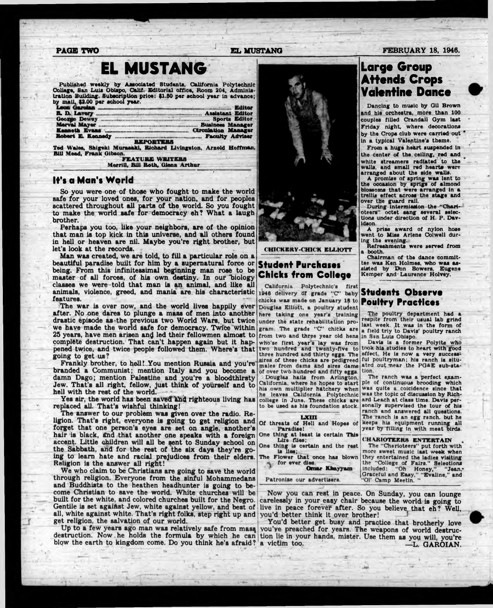# **EL MUSTANG**

Published weekly by Associated Students, California Polytechnic College, San Lula Obispo, Calif. Editorial office, Room 204, Administration Building. Subscription price: \$1.00 per school year In advance; by mall, \$2.00 per school year.

| Leon Garolan                                                     |                  | Editor           |  |
|------------------------------------------------------------------|------------------|------------------|--|
| <b>R. D. Lavery </b>                                             |                  | Assistant Editor |  |
|                                                                  |                  |                  |  |
|                                                                  |                  |                  |  |
| Kenneth Evans <b>Montgommunical Circulation Manager</b>          |                  |                  |  |
|                                                                  |                  |                  |  |
|                                                                  | <b>REPORTERS</b> |                  |  |
| Ted Wales, Shigeki Murasaki, Richard Livingston, Arnold Hoffman, |                  |                  |  |

Ted Wales, Shlgekl Muraaakl, Richard Livingston, Arnold Hoffman, Bill Mead, Frank Gibson. FEATURE WRITERS

Merrill. BUI Roth. Glenn Arthur

\*

#### **It's a Man's World**

**So you were one of those who fought to make the world safe for your loved ones, for your nation, and for peoples scattered throughout all parts of the world. So you fought to make the world safe for democracy eh? What a laugh brother. -**

**Perhaps you too, like your neighbors, are of the opinion** that man is top kick in this universe, and all others found **in hell or heaven are nil. Maybe you're right brother, but let's look at the records.**

**Man was created, we are told, to fill a particular role on a beautiful paradise built for him by a supernatural force or being. From this infinitessimal beginning man rose to be master of all forces, of his own destiny. In our "biology classes we were told that man is an animal, and like all animals, violence, greed, and mania are his characteristic features.**

**The war is over now, and the world lives happily ever after. No one dares to plunge a mass of men into another drastic episode as the previous two World Wars, but twice we have made the world safe for democracy. Twice within** 25 years, have men arisen and led their fellowmen almost to from two and three year old hens in San Luis Obispo. **complete destruction. That can't happen again but it happened twice, and twice people followed them. Where's that going to get us?**

**Frankly brother, to hell! .You mention Russia and you're branded a Communist; mention Italy and you become a damn Dago; mention Palestine and you're a bloodthirsty Jew. That's all right, fellow, just think of yourself and to hell with the rest of the world.**

Yes sir, the world has been saved and righteous living has **replaced all. That's wishful thinking!**

**The answer to our problem was given over the radio. Religion. That's right, everyone is going to get religion and forget that one person's eyes are set on angle, another's hair is black, tfnd that another one speaks with a foreign accent. Little children will all be sent to Sunday school on the Sabbath, ahd for the rest of the six days they're going to learn hate and racial prejudices from their elders. Religion is the answer all right!**

**We who claim to be Christians are going to Bave the world through religion. Everyone from the sinful Mohammedans and Buddhists to the heathen headhunter is going to become Christian to save the world. White churches will be built for the white, and colored churches built for the Negro. Gentile is set agaiftst Jew, white against yellow, and best of all, white against white. That's right folks, step right up and get religion, the salvation of our world.**

**destruction. Now he holds the formula by which he can tion lie in your hands, mister. Use them as you will, you're blow the earth to kingdom come. Do you think he's afraid?**



### **Student Purchases Chicks from College**

California Polytechnic's first 1946 delivery of grade "C" baby chicks was made on January 18 to **Poultry Practices** Douglas Elliott, a poultry student here taking one year's training under the state rehabilitation program. The grade "C" chicks are who'se first year's lay was from two hundred and twenty-five to three hundred and thirty eggs. The sires of these chicks are pedigreed males from dsms and sires dams of over two hundred and fifty eggs. < Douglas hails from Arlington, California, where he hopes to start his own multiplier hatchery when he leaves California Polytechnic

college In June. These chicks are to be used as his foundation stock.

- Of LXUI threats of Hell and Hopes of Paradise!
- One thing at least is certain This Lire flies;
- One thing is certain and the rest Is Ilea;

The Flower that once has blown for ever dies.

' Omar Khayyam

Patronise our advertisers.

**Now you can rest in peace. On Sunday, you can lounge carelessly in your easy chair because the world is going to live in peace forever after. So you believe that eh? Well, you'd better think it over brother!**

Up to a few years ago man was relatively safe from mass vou've preached for years. The weapons of world destruc-**You'd better get busy and practice that brotherly love .L. GAROIAN.** 



Dancing to music by Gil Brown and his orchestra, more than 100 couples filled Crandall Gym last Friday night, where decorations by the Crops club were carried out In a typical Valentine's theme.

From a huge heart suspended in the center of the celling, red and white streamers radiated to the walls, and small red hearts were arranged about the side walls.

A promise of spring was lent to the occasion by sprigs of almond blossoms that were arranged in a trellis effect across the stage and over the guard rail.

During intermission the "Charioteers" octet sang several selections under direction of H. P. Davidson.

A prise award of nylon hose went to Miss Arlene Colwell during the evening.

Refreshments were served from a booth.

Chairman of the dance committee was Ken Holmes, who was assisted by Don Bowers, Eugene Kemper and Laurence Holvey.

# **Students Observe**

The poultry department had a respite from their usual lab grind last week. It was in the form of a field triy to Davis' poultry ranch

Davis Is a former Polylte who took hla studies to heart with good effect. He is now a very successful poultryman; his ranch is situated out near the PGAE sub-station.

The ranch was a perfect example of continuous brooding which was quite a colcidence since that was the topic of discussion by Richard Leach at class time. Davis personally supervised the tour of his ranch and answered all questions. The ranch is an egg ranch, but he keeps his equipment running all year by Tilling In with mest birds.

CHARIOTEERS ENTERTAIN .

The "Charioteers" put forth with more sweet music last weak when they entertained the ladles visiting the "College of Fairs." Selections Included: "Oh Honey," "Jean,- Graceful and Easy," "Evallne," and "Ol' Camp Meetin. "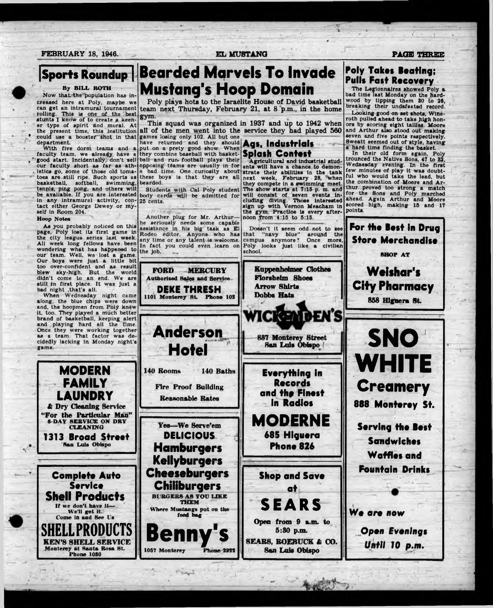### **FEBRUARY 18, 1946. EL MUSTANG PAGE THREE**

# **| Sports Roundup |** By BILL BOTH

Now that the population has increaaed here at Poly, maybe we can get an Intramural tournament rolling. This la one of the best stunts I know of to create a keen er type of spirit and moral. At

the present time, this institution ' could use a booster 'Shot in that department

With five dorm teams and a faculty team, we already have a good start. Incidentally, don't sell our faculty short as far as ath- . letica go, some of those old tomatoes are.still ripe. Such sports as basketball, softball, swimming, tenpis, ping pong, and others will be available. If you are interested in any intramural activity, con-25 cents. tact either George Dewey or myself in Room 204.<br>Hoop Notes

#### Hoop Notes

 $\mathbf{v}$ 

As you probably noticed on this page, Poly lost its first game In the city league series last week. All week long fellows have been wondering what has happened to our team. Well, we lost a game. Our boys were Just a little bit too over-confident and as result blew sky-high. But the world didn't come to an end. We are still in first place. It was Just a bad night .that's all.

When Wednesday night came along, the blue chips were down and, the hoopmen from Poly knew it, too. They played a much better brand of basketball, keeping alert and playing hard all the time. as a team. That factor was de game.



# **Bearded Marvels To Invade Mustang's Hoop Domain**

Poly plays hots to the Israelite House of David basketball team next Thursday, February 21, at 8 p.m., in the home gym.  $\blacksquare$ 

This squad was organized in 1937 and up to 1942 when ail of the men went into the service they had played 560 games losing only 102. All but one

have returned and they should have returned and they should **Ags, industrials**<br>put on a prety good show. When **Ags, industrials** they combine baseball with basket-**Splash Contest** ball and run- football plays their opposing teams are usually in for a bad time. One curiosity about these boys is that they are all bearded.

Students with Cal Poly student body cards will be admitted for

Another plug for Mr. Arthurhe seriously needs some capable assistance in his big task as El Rodeo editor. Anyone who has any time or any talent is welcome. In fact you could even learn on the job.  $\qquad \qquad \ldots$ 

**FORD MERCURY** Authorised Bales and Service **DEKE THRESH** 1101 Monterey St. Phone 102 noon 'from 4:15 to 5:16. Doesn't It seem odd not to see that "navy blue" around the campus anymore? Once more, Poly looks Just like a civilian school.

> **Kuppenheimar Clothes** Florsheim Shoes **Arrow Shirts Dobbs Hats**

the *gym.* Practice is every after-

*1*

*(* -

# **Poly Takes Beating; Pulls Fast Recovery**

The Legionnaires showed Poly a bad time last Monday on the hardwood by tipping them 30 to 26, breaking their undefeated record. Looking good on set shots, Wineroth pulled ahead to take high honors by scoring eight tallies. Moore and Arthur also stood out making seven and five points respectively. Sweatt seemed out of style, having a hard time finding the basket.

In their old form again, Poly trounced the Native Sons, 47 to 82, Wednesday evening. In the first few minutes of play it was doubtful who would take the lead, but the combination of Moore and Arthur proved too atrong a match for the Sons and Poly marched ahead. Again Arthur and Moore scored high, making 15 and 17 points.

**For the Best In Drug**







*Until 10 p.m***.**



Thingh